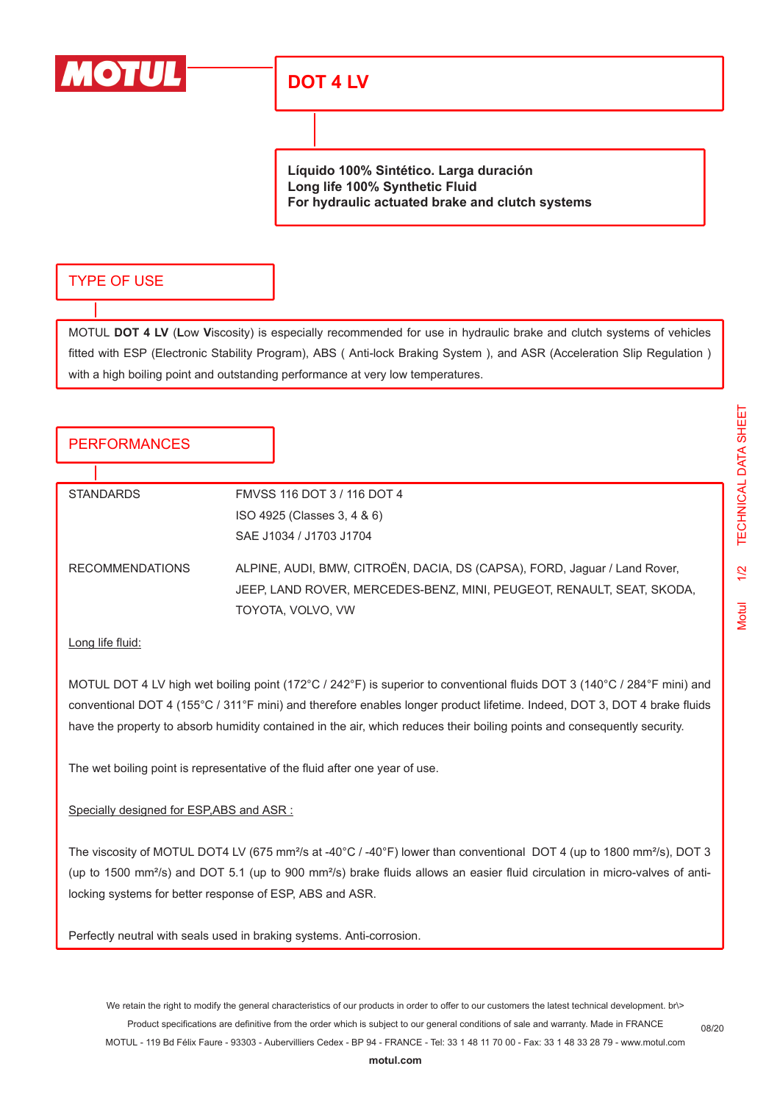

# **DOT 4 LV**

**Líquido 100% Sintético. Larga duración Long life 100% Synthetic Fluid For hydraulic actuated brake and clutch systems**

## TYPE OF USE

MOTUL **DOT 4 LV** (**L**ow **V**iscosity) is especially recommended for use in hydraulic brake and clutch systems of vehicles fitted with ESP (Electronic Stability Program), ABS ( Anti-lock Braking System ), and ASR (Acceleration Slip Regulation ) with a high boiling point and outstanding performance at very low temperatures.

# **PERFORMANCES**

| <b>STANDARDS</b>       | FMVSS 116 DOT 3 / 116 DOT 4                                                                                                                                             |
|------------------------|-------------------------------------------------------------------------------------------------------------------------------------------------------------------------|
|                        | ISO 4925 (Classes 3, 4 & 6)                                                                                                                                             |
|                        | SAE J1034 / J1703 J1704                                                                                                                                                 |
| <b>RECOMMENDATIONS</b> | ALPINE, AUDI, BMW, CITROËN, DACIA, DS (CAPSA), FORD, Jaguar / Land Rover,<br>JEEP, LAND ROVER, MERCEDES-BENZ, MINI, PEUGEOT, RENAULT, SEAT, SKODA,<br>TOYOTA, VOLVO, VW |

#### Long life fluid:

MOTUL DOT 4 LV high wet boiling point (172°C / 242°F) is superior to conventional fluids DOT 3 (140°C / 284°F mini) and conventional DOT 4 (155°C / 311°F mini) and therefore enables longer product lifetime. Indeed, DOT 3, DOT 4 brake fluids have the property to absorb humidity contained in the air, which reduces their boiling points and consequently security.

The wet boiling point is representative of the fluid after one year of use.

#### Specially designed for ESP,ABS and ASR :

The viscosity of MOTUL DOT4 LV (675 mm<sup>2</sup>/s at -40°C / -40°F) lower than conventional DOT 4 (up to 1800 mm<sup>2</sup>/s), DOT 3 (up to 1500 mm²/s) and DOT 5.1 (up to 900 mm²/s) brake fluids allows an easier fluid circulation in micro-valves of antilocking systems for better response of ESP, ABS and ASR.

Perfectly neutral with seals used in braking systems. Anti-corrosion.

08/20